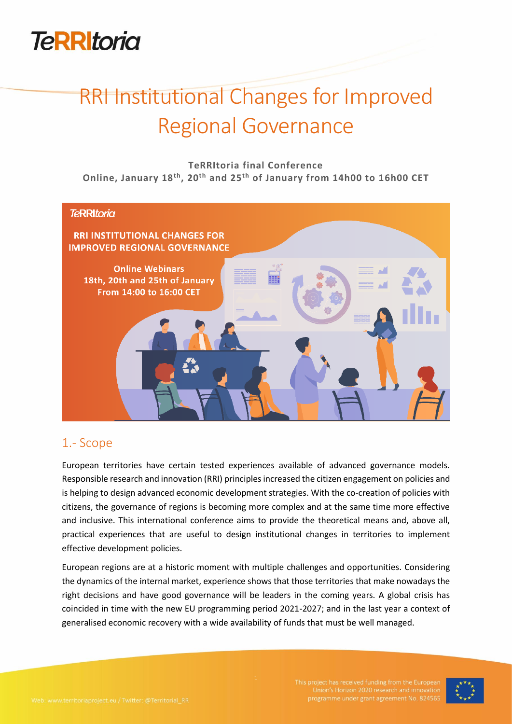

# RRI Institutional Changes for Improved Regional Governance

**TeRRItoria final Conference Online, January 18th, 20th and 25th of January from 14h00 to 16h00 CET**



## 1.- Scope

European territories have certain tested experiences available of advanced governance models. Responsible research and innovation (RRI) principles increased the citizen engagement on policies and is helping to design advanced economic development strategies. With the co-creation of policies with citizens, the governance of regions is becoming more complex and at the same time more effective and inclusive. This international conference aims to provide the theoretical means and, above all, practical experiences that are useful to design institutional changes in territories to implement effective development policies.

European regions are at a historic moment with multiple challenges and opportunities. Considering the dynamics of the internal market, experience shows that those territories that make nowadays the right decisions and have good governance will be leaders in the coming years. A global crisis has coincided in time with the new EU programming period 2021-2027; and in the last year a context of generalised economic recovery with a wide availability of funds that must be well managed.

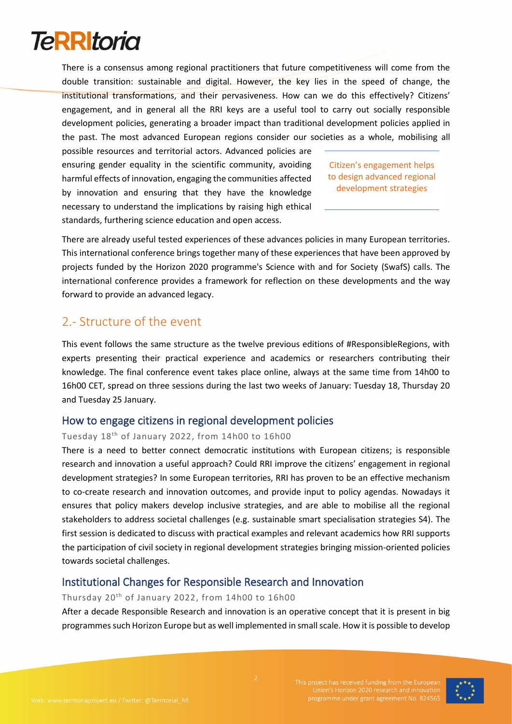

There is a consensus among regional practitioners that future competitiveness will come from the double transition: sustainable and digital. However, the key lies in the speed of change, the institutional transformations, and their pervasiveness. How can we do this effectively? Citizens' engagement, and in general all the RRI keys are a useful tool to carry out socially responsible development policies, generating a broader impact than traditional development policies applied in the past. The most advanced European regions consider our societies as a whole, mobilising all

possible resources and territorial actors. Advanced policies are ensuring gender equality in the scientific community, avoiding harmful effects of innovation, engaging the communities affected by innovation and ensuring that they have the knowledge necessary to understand the implications by raising high ethical standards, furthering science education and open access.

Citizen's engagement helps to design advanced regional development strategies

There are already useful tested experiences of these advances policies in many European territories. This international conference brings together many of these experiences that have been approved by projects funded by the Horizon 2020 programme's Science with and for Society (SwafS) calls. The international conference provides a framework for reflection on these developments and the way forward to provide an advanced legacy.

### 2.- Structure of the event

This event follows the same structure as the twelve previous editions of #ResponsibleRegions, with experts presenting their practical experience and academics or researchers contributing their knowledge. The final conference event takes place online, always at the same time from 14h00 to 16h00 CET, spread on three sessions during the last two weeks of January: Tuesday 18, Thursday 20 and Tuesday 25 January.

#### How to engage citizens in regional development policies

#### Tuesday 18th of January 2022, from 14h00 to 16h00

There is a need to better connect democratic institutions with European citizens; is responsible research and innovation a useful approach? Could RRI improve the citizens' engagement in regional development strategies? In some European territories, RRI has proven to be an effective mechanism to co-create research and innovation outcomes, and provide input to policy agendas. Nowadays it ensures that policy makers develop inclusive strategies, and are able to mobilise all the regional stakeholders to address societal challenges (e.g. sustainable smart specialisation strategies S4). The first session is dedicated to discuss with practical examples and relevant academics how RRI supports the participation of civil society in regional development strategies bringing mission-oriented policies towards societal challenges.

### Institutional Changes for Responsible Research and Innovation

#### Thursday 20th of January 2022, from 14h00 to 16h00

After a decade Responsible Research and innovation is an operative concept that it is present in big programmes such Horizon Europe but as well implemented in small scale. How it is possible to develop

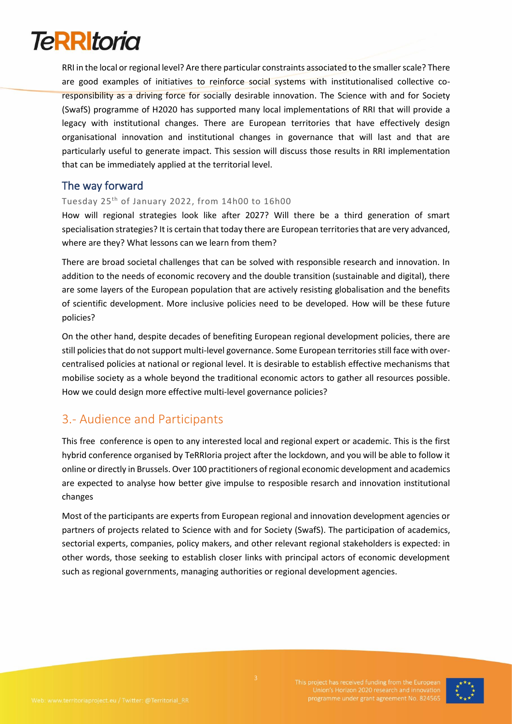# **TeRRItoria**

RRI in the local or regional level? Are there particular constraints associated to the smaller scale? There are good examples of initiatives to reinforce social systems with institutionalised collective coresponsibility as a driving force for socially desirable innovation. The Science with and for Society (SwafS) programme of H2020 has supported many local implementations of RRI that will provide a legacy with institutional changes. There are European territories that have effectively design organisational innovation and institutional changes in governance that will last and that are particularly useful to generate impact. This session will discuss those results in RRI implementation that can be immediately applied at the territorial level.

#### The way forward

#### Tuesday 25th of January 2022, from 14h00 to 16h00

How will regional strategies look like after 2027? Will there be a third generation of smart specialisation strategies? It is certain that today there are European territories that are very advanced, where are they? What lessons can we learn from them?

There are broad societal challenges that can be solved with responsible research and innovation. In addition to the needs of economic recovery and the double transition (sustainable and digital), there are some layers of the European population that are actively resisting globalisation and the benefits of scientific development. More inclusive policies need to be developed. How will be these future policies?

On the other hand, despite decades of benefiting European regional development policies, there are still policies that do not support multi-level governance. Some European territories still face with overcentralised policies at national or regional level. It is desirable to establish effective mechanisms that mobilise society as a whole beyond the traditional economic actors to gather all resources possible. How we could design more effective multi-level governance policies?

## 3.- Audience and Participants

This free conference is open to any interested local and regional expert or academic. This is the first hybrid conference organised by TeRRIoria project after the lockdown, and you will be able to follow it online or directly in Brussels. Over 100 practitioners of regional economic development and academics are expected to analyse how better give impulse to resposible resarch and innovation institutional changes

Most of the participants are experts from European regional and innovation development agencies or partners of projects related to Science with and for Society (SwafS). The participation of academics, sectorial experts, companies, policy makers, and other relevant regional stakeholders is expected: in other words, those seeking to establish closer links with principal actors of economic development such as regional governments, managing authorities or regional development agencies.

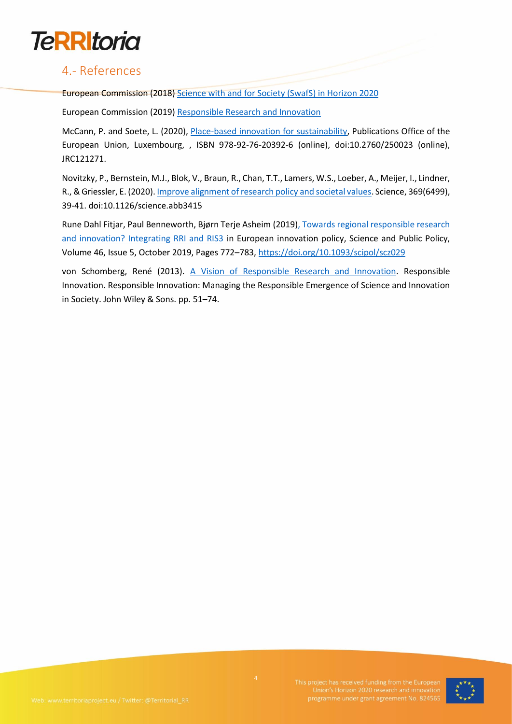

### 4.- References

European Commission (2018) [Science with and for Society \(SwafS\) in Horizon 2020](https://ec.europa.eu/programmes/horizon2020/en/h2020-section/science-and-society)

European Commission (2019) [Responsible Research and Innovation](https://ec.europa.eu/programmes/horizon2020/en/h2020-section/responsible-research-innovation)

McCann, P. and Soete, L. (2020), [Place-based innovation for sustainability,](https://publications.jrc.ec.europa.eu/repository/bitstream/JRC121271/jrc121271_final_pdf_version_report_for_publication_mccann_and_soete._3_jul_2020-2.pdf) Publications Office of the European Union, Luxembourg, , ISBN 978-92-76-20392-6 (online), doi:10.2760/250023 (online), JRC121271.

Novitzky, P., Bernstein, M.J., Blok, V., Braun, R., Chan, T.T., Lamers, W.S., Loeber, A., Meijer, I., Lindner, R., & Griessler, E. (2020)[. Improve alignment of research policy and societal values.](https://www.science.org/doi/10.1126/science.abb3415) Science, 369(6499), 39-41. doi:10.1126/science.abb3415

Rune Dahl Fitjar, Paul Benneworth, Bjørn Terje Asheim (2019[\), Towards regional responsible research](https://academic.oup.com/spp/article/46/5/772/5491609)  [and innovation? Integrating RRI and RIS3](https://academic.oup.com/spp/article/46/5/772/5491609) in European innovation policy, Science and Public Policy, Volume 46, Issue 5, October 2019, Pages 772–783[, https://doi.org/10.1093/scipol/scz029](https://doi.org/10.1093/scipol/scz029)

von Schomberg, René (2013). [A Vision of Responsible Research and Innovation.](https://philarchive.org/archive/VONAVO) Responsible Innovation. Responsible Innovation: Managing the Responsible Emergence of Science and Innovation in Society. John Wiley & Sons. pp. 51–74.